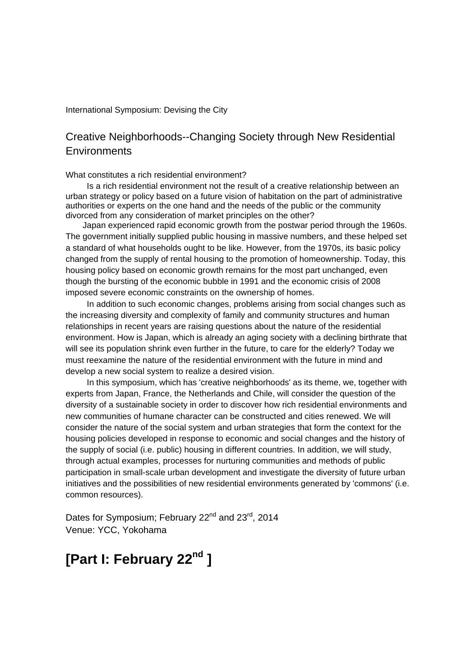#### International Symposium: Devising the City

## Creative Neighborhoods--Changing Society through New Residential **Environments**

What constitutes a rich residential environment?

 Is a rich residential environment not the result of a creative relationship between an urban strategy or policy based on a future vision of habitation on the part of administrative authorities or experts on the one hand and the needs of the public or the community divorced from any consideration of market principles on the other?

 Japan experienced rapid economic growth from the postwar period through the 1960s. The government initially supplied public housing in massive numbers, and these helped set a standard of what households ought to be like. However, from the 1970s, its basic policy changed from the supply of rental housing to the promotion of homeownership. Today, this housing policy based on economic growth remains for the most part unchanged, even though the bursting of the economic bubble in 1991 and the economic crisis of 2008 imposed severe economic constraints on the ownership of homes.

 In addition to such economic changes, problems arising from social changes such as the increasing diversity and complexity of family and community structures and human relationships in recent years are raising questions about the nature of the residential environment. How is Japan, which is already an aging society with a declining birthrate that will see its population shrink even further in the future, to care for the elderly? Today we must reexamine the nature of the residential environment with the future in mind and develop a new social system to realize a desired vision.

 In this symposium, which has 'creative neighborhoods' as its theme, we, together with experts from Japan, France, the Netherlands and Chile, will consider the question of the diversity of a sustainable society in order to discover how rich residential environments and new communities of humane character can be constructed and cities renewed. We will consider the nature of the social system and urban strategies that form the context for the housing policies developed in response to economic and social changes and the history of the supply of social (i.e. public) housing in different countries. In addition, we will study, through actual examples, processes for nurturing communities and methods of public participation in small-scale urban development and investigate the diversity of future urban initiatives and the possibilities of new residential environments generated by 'commons' (i.e. common resources).

Dates for Symposium; February 22<sup>nd</sup> and 23<sup>rd</sup>, 2014 Venue: YCC, Yokohama

## **[Part I: February 22nd ]**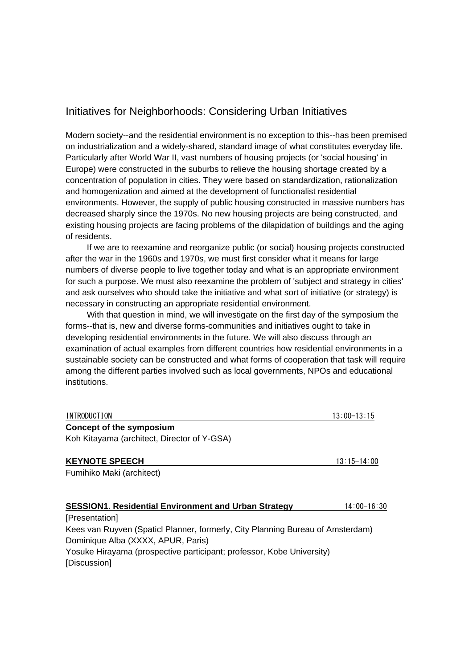### Initiatives for Neighborhoods: Considering Urban Initiatives

Modern society--and the residential environment is no exception to this--has been premised on industrialization and a widely-shared, standard image of what constitutes everyday life. Particularly after World War II, vast numbers of housing projects (or 'social housing' in Europe) were constructed in the suburbs to relieve the housing shortage created by a concentration of population in cities. They were based on standardization, rationalization and homogenization and aimed at the development of functionalist residential environments. However, the supply of public housing constructed in massive numbers has decreased sharply since the 1970s. No new housing projects are being constructed, and existing housing projects are facing problems of the dilapidation of buildings and the aging of residents.

 If we are to reexamine and reorganize public (or social) housing projects constructed after the war in the 1960s and 1970s, we must first consider what it means for large numbers of diverse people to live together today and what is an appropriate environment for such a purpose. We must also reexamine the problem of 'subject and strategy in cities' and ask ourselves who should take the initiative and what sort of initiative (or strategy) is necessary in constructing an appropriate residential environment.

 With that question in mind, we will investigate on the first day of the symposium the forms--that is, new and diverse forms-communities and initiatives ought to take in developing residential environments in the future. We will also discuss through an examination of actual examples from different countries how residential environments in a sustainable society can be constructed and what forms of cooperation that task will require among the different parties involved such as local governments, NPOs and educational institutions.

| INTRODUCTION                                                                   | 13:00-13:15     |
|--------------------------------------------------------------------------------|-----------------|
| <b>Concept of the symposium</b>                                                |                 |
| Koh Kitayama (architect, Director of Y-GSA)                                    |                 |
| <b>KEYNOTE SPEECH</b>                                                          | $13:15 - 14:00$ |
| Fumihiko Maki (architect)                                                      |                 |
|                                                                                |                 |
| <b>SESSION1. Residential Environment and Urban Strategy</b>                    | 14:00-16:30     |
| [Presentation]                                                                 |                 |
| Kees van Ruyven (Spaticl Planner, formerly, City Planning Bureau of Amsterdam) |                 |
| Dominique Alba (XXXX, APUR, Paris)                                             |                 |
| Yosuke Hirayama (prospective participant; professor, Kobe University)          |                 |

[Discussion]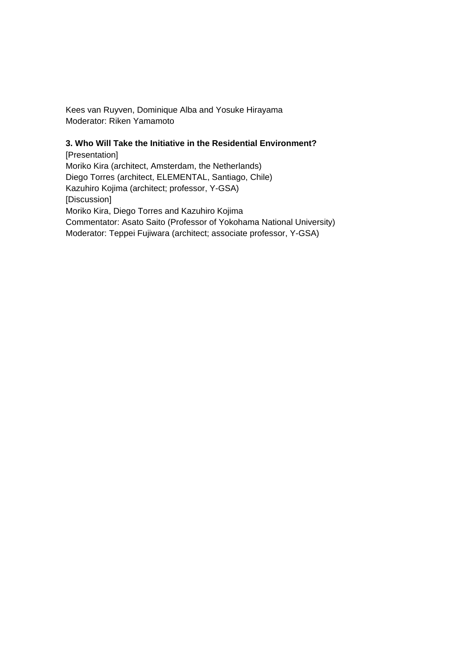Kees van Ruyven, Dominique Alba and Yosuke Hirayama Moderator: Riken Yamamoto

#### **3. Who Will Take the Initiative in the Residential Environment?**

[Presentation] Moriko Kira (architect, Amsterdam, the Netherlands) Diego Torres (architect, ELEMENTAL, Santiago, Chile) Kazuhiro Kojima (architect; professor, Y-GSA) [Discussion] Moriko Kira, Diego Torres and Kazuhiro Kojima Commentator: Asato Saito (Professor of Yokohama National University) Moderator: Teppei Fujiwara (architect; associate professor, Y-GSA)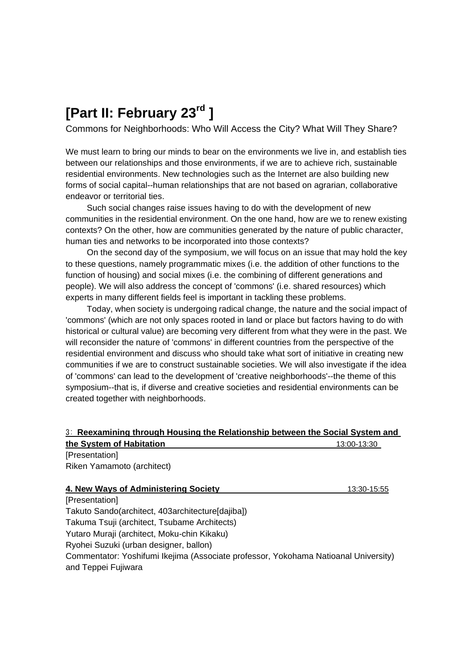# **[Part II: February 23rd ]**

Commons for Neighborhoods: Who Will Access the City? What Will They Share?

We must learn to bring our minds to bear on the environments we live in, and establish ties between our relationships and those environments, if we are to achieve rich, sustainable residential environments. New technologies such as the Internet are also building new forms of social capital--human relationships that are not based on agrarian, collaborative endeavor or territorial ties.

 Such social changes raise issues having to do with the development of new communities in the residential environment. On the one hand, how are we to renew existing contexts? On the other, how are communities generated by the nature of public character, human ties and networks to be incorporated into those contexts?

 On the second day of the symposium, we will focus on an issue that may hold the key to these questions, namely programmatic mixes (i.e. the addition of other functions to the function of housing) and social mixes (i.e. the combining of different generations and people). We will also address the concept of 'commons' (i.e. shared resources) which experts in many different fields feel is important in tackling these problems.

 Today, when society is undergoing radical change, the nature and the social impact of 'commons' (which are not only spaces rooted in land or place but factors having to do with historical or cultural value) are becoming very different from what they were in the past. We will reconsider the nature of 'commons' in different countries from the perspective of the residential environment and discuss who should take what sort of initiative in creating new communities if we are to construct sustainable societies. We will also investigate if the idea of 'commons' can lead to the development of 'creative neighborhoods'--the theme of this symposium--that is, if diverse and creative societies and residential environments can be created together with neighborhoods.

## 3: **Reexamining through Housing the Relationship between the Social System and**

| the System of Habitation                                                                                   | 13:00-13:30 |
|------------------------------------------------------------------------------------------------------------|-------------|
| [Presentation]                                                                                             |             |
| Riken Yamamoto (architect)                                                                                 |             |
| 4. New Ways of Administering Society                                                                       | 13:30-15:55 |
| [Presentation]                                                                                             |             |
| Takuto Sando(architect, 403architecture[dajiba])                                                           |             |
| Takuma Tsuji (architect, Tsubame Architects)                                                               |             |
| Yutaro Muraji (architect, Moku-chin Kikaku)                                                                |             |
| Ryohei Suzuki (urban designer, ballon)                                                                     |             |
| Commentator: Yoshifumi Ikejima (Associate professor, Yokohama Natioanal University)<br>and Teppei Fujiwara |             |